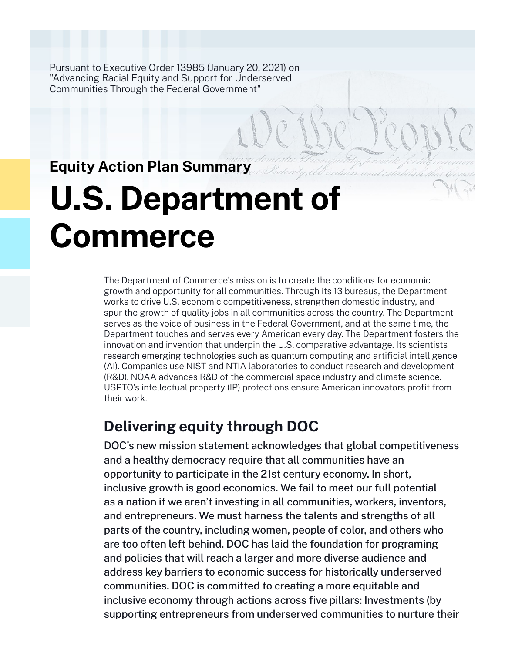Pursuant to Executive Order 13985 (January 20, 2021) on "Advancing Racial Equity and Support for Underserved Communities Through the Federal Government"

# **Equity Action Plan Summary**

# **U.S. Department of Commerce**

The Department of Commerce's mission is to create the conditions for economic growth and opportunity for all communities. Through its 13 bureaus, the Department works to drive U.S. economic competitiveness, strengthen domestic industry, and spur the growth of quality jobs in all communities across the country. The Department serves as the voice of business in the Federal Government, and at the same time, the Department touches and serves every American every day. The Department fosters the innovation and invention that underpin the U.S. comparative advantage. Its scientists research emerging technologies such as quantum computing and artificial intelligence (AI). Companies use NIST and NTIA laboratories to conduct research and development (R&D). NOAA advances R&D of the commercial space industry and climate science. USPTO's intellectual property (IP) protections ensure American innovators profit from their work.

# **Delivering equity through DOC**

DOC's new mission statement acknowledges that global competitiveness and a healthy democracy require that all communities have an opportunity to participate in the 21st century economy. In short, inclusive growth is good economics. We fail to meet our full potential as a nation if we aren't investing in all communities, workers, inventors, and entrepreneurs. We must harness the talents and strengths of all parts of the country, including women, people of color, and others who are too often left behind. DOC has laid the foundation for programing and policies that will reach a larger and more diverse audience and address key barriers to economic success for historically underserved communities. DOC is committed to creating a more equitable and inclusive economy through actions across five pillars: Investments (by supporting entrepreneurs from underserved communities to nurture their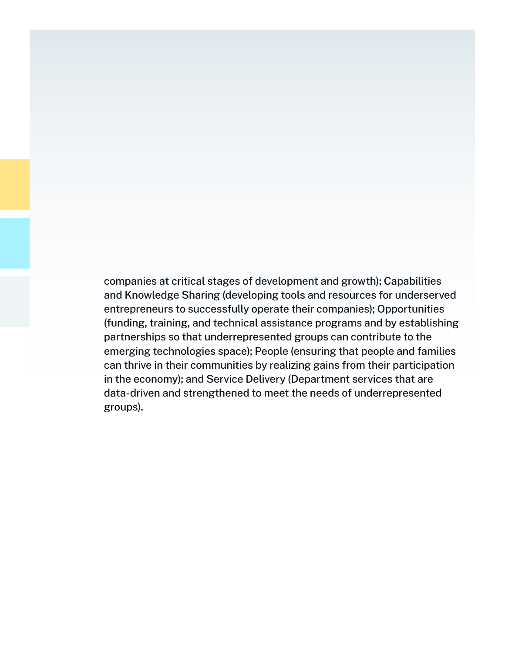companies at critical stages of development and growth); Capabilities and Knowledge Sharing (developing tools and resources for underserved entrepreneurs to successfully operate their companies); Opportunities (funding, training, and technical assistance programs and by establishing partnerships so that underrepresented groups can contribute to the emerging technologies space); People (ensuring that people and families can thrive in their communities by realizing gains from their participation in the economy); and Service Delivery (Department services that are data-driven and strengthened to meet the needs of underrepresented groups).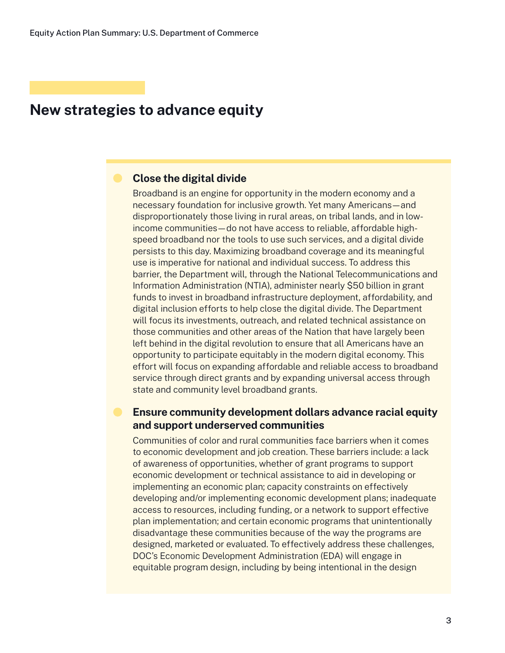### **Close the digital divide**

Broadband is an engine for opportunity in the modern economy and a necessary foundation for inclusive growth. Yet many Americans—and disproportionately those living in rural areas, on tribal lands, and in lowincome communities—do not have access to reliable, affordable highspeed broadband nor the tools to use such services, and a digital divide persists to this day. Maximizing broadband coverage and its meaningful use is imperative for national and individual success. To address this barrier, the Department will, through the National Telecommunications and Information Administration (NTIA), administer nearly \$50 billion in grant funds to invest in broadband infrastructure deployment, affordability, and digital inclusion efforts to help close the digital divide. The Department will focus its investments, outreach, and related technical assistance on those communities and other areas of the Nation that have largely been left behind in the digital revolution to ensure that all Americans have an opportunity to participate equitably in the modern digital economy. This effort will focus on expanding affordable and reliable access to broadband service through direct grants and by expanding universal access through state and community level broadband grants.

## **Ensure community development dollars advance racial equity and support underserved communities**

Communities of color and rural communities face barriers when it comes to economic development and job creation. These barriers include: a lack of awareness of opportunities, whether of grant programs to support economic development or technical assistance to aid in developing or implementing an economic plan; capacity constraints on effectively developing and/or implementing economic development plans; inadequate access to resources, including funding, or a network to support effective plan implementation; and certain economic programs that unintentionally disadvantage these communities because of the way the programs are designed, marketed or evaluated. To effectively address these challenges, DOC's Economic Development Administration (EDA) will engage in equitable program design, including by being intentional in the design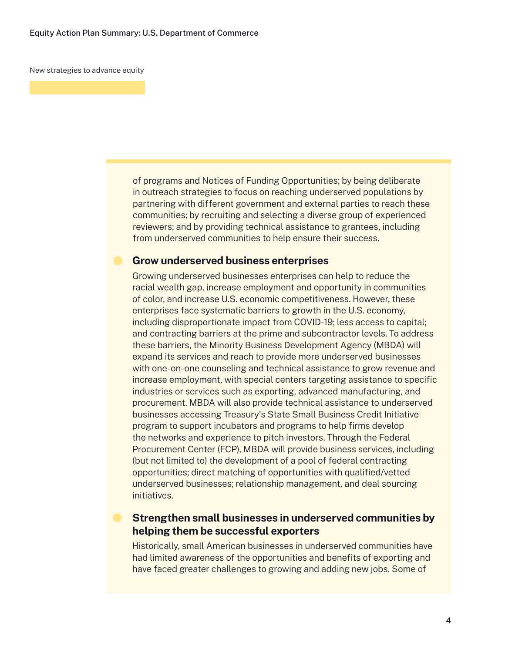of programs and Notices of Funding Opportunities; by being deliberate in outreach strategies to focus on reaching underserved populations by partnering with different government and external parties to reach these communities; by recruiting and selecting a diverse group of experienced reviewers; and by providing technical assistance to grantees, including from underserved communities to help ensure their success.

#### **Grow underserved business enterprises**

Growing underserved businesses enterprises can help to reduce the racial wealth gap, increase employment and opportunity in communities of color, and increase U.S. economic competitiveness. However, these enterprises face systematic barriers to growth in the U.S. economy, including disproportionate impact from COVID-19; less access to capital; and contracting barriers at the prime and subcontractor levels. To address these barriers, the Minority Business Development Agency (MBDA) will expand its services and reach to provide more underserved businesses with one-on-one counseling and technical assistance to grow revenue and increase employment, with special centers targeting assistance to specific industries or services such as exporting, advanced manufacturing, and procurement. MBDA will also provide technical assistance to underserved businesses accessing Treasury's State Small Business Credit Initiative program to support incubators and programs to help firms develop the networks and experience to pitch investors. Through the Federal Procurement Center (FCP), MBDA will provide business services, including (but not limited to) the development of a pool of federal contracting opportunities; direct matching of opportunities with qualified/vetted underserved businesses; relationship management, and deal sourcing initiatives.

#### **Strengthen small businesses in underserved communities by helping them be successful exporters**

Historically, small American businesses in underserved communities have had limited awareness of the opportunities and benefits of exporting and have faced greater challenges to growing and adding new jobs. Some of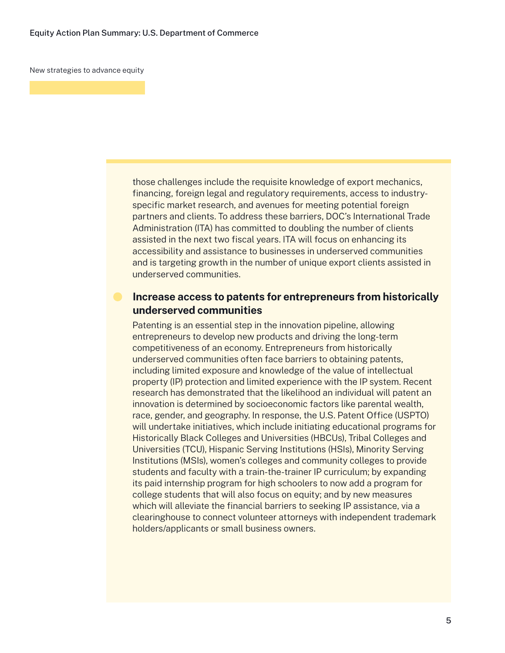those challenges include the requisite knowledge of export mechanics, financing, foreign legal and regulatory requirements, access to industryspecific market research, and avenues for meeting potential foreign partners and clients. To address these barriers, DOC's International Trade Administration (ITA) has committed to doubling the number of clients assisted in the next two fiscal years. ITA will focus on enhancing its accessibility and assistance to businesses in underserved communities and is targeting growth in the number of unique export clients assisted in underserved communities.

## **Increase access to patents for entrepreneurs from historically underserved communities**

Patenting is an essential step in the innovation pipeline, allowing entrepreneurs to develop new products and driving the long-term competitiveness of an economy. Entrepreneurs from historically underserved communities often face barriers to obtaining patents, including limited exposure and knowledge of the value of intellectual property (IP) protection and limited experience with the IP system. Recent research has demonstrated that the likelihood an individual will patent an innovation is determined by socioeconomic factors like parental wealth, race, gender, and geography. In response, the U.S. Patent Office (USPTO) will undertake initiatives, which include initiating educational programs for Historically Black Colleges and Universities (HBCUs), Tribal Colleges and Universities (TCU), Hispanic Serving Institutions (HSIs), Minority Serving Institutions (MSIs), women's colleges and community colleges to provide students and faculty with a train-the-trainer IP curriculum; by expanding its paid internship program for high schoolers to now add a program for college students that will also focus on equity; and by new measures which will alleviate the financial barriers to seeking IP assistance, via a clearinghouse to connect volunteer attorneys with independent trademark holders/applicants or small business owners.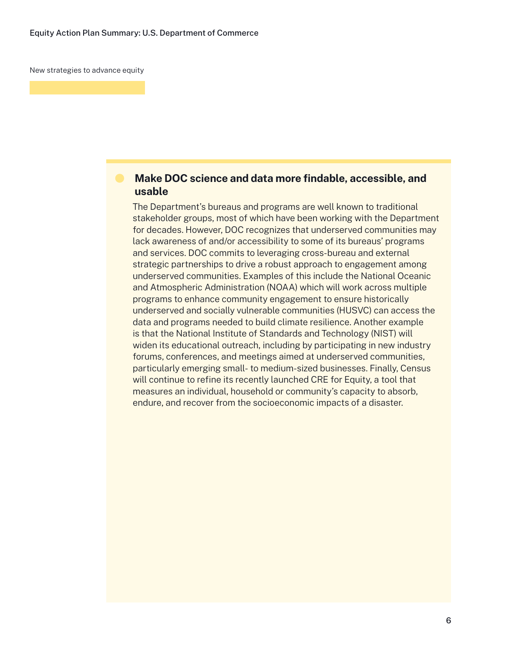# **Make DOC science and data more findable, accessible, and usable**

The Department's bureaus and programs are well known to traditional stakeholder groups, most of which have been working with the Department for decades. However, DOC recognizes that underserved communities may lack awareness of and/or accessibility to some of its bureaus' programs and services. DOC commits to leveraging cross-bureau and external strategic partnerships to drive a robust approach to engagement among underserved communities. Examples of this include the National Oceanic and Atmospheric Administration (NOAA) which will work across multiple programs to enhance community engagement to ensure historically underserved and socially vulnerable communities (HUSVC) can access the data and programs needed to build climate resilience. Another example is that the National Institute of Standards and Technology (NIST) will widen its educational outreach, including by participating in new industry forums, conferences, and meetings aimed at underserved communities, particularly emerging small- to medium-sized businesses. Finally, Census will continue to refine its recently launched CRE for Equity, a tool that measures an individual, household or community's capacity to absorb, endure, and recover from the socioeconomic impacts of a disaster.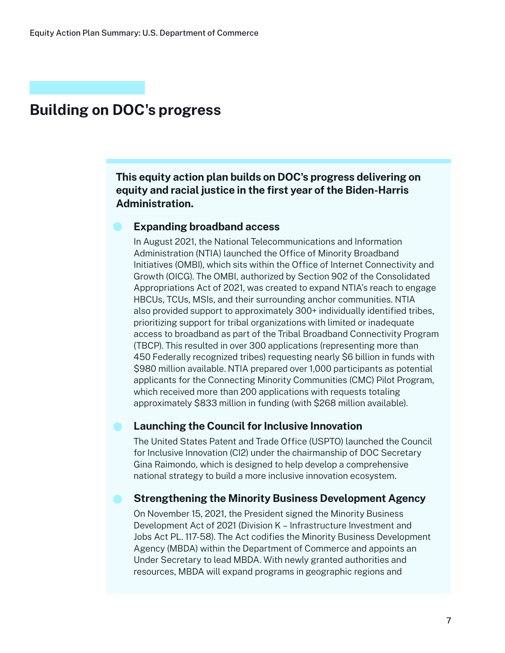## **This equity action plan builds on DOC's progress delivering on equity and racial justice in the first year of the Biden-Harris Administration.**

#### **Expanding broadband access**

In August 2021, the National Telecommunications and Information Administration (NTIA) launched the Office of Minority Broadband Initiatives (OMBI), which sits within the Office of Internet Connectivity and Growth (OICG). The OMBI, authorized by Section 902 of the Consolidated Appropriations Act of 2021, was created to expand NTIA's reach to engage HBCUs, TCUs, MSIs, and their surrounding anchor communities. NTIA also provided support to approximately 300+ individually identified tribes, prioritizing support for tribal organizations with limited or inadequate access to broadband as part of the Tribal Broadband Connectivity Program (TBCP). This resulted in over 300 applications (representing more than 450 Federally recognized tribes) requesting nearly \$6 billion in funds with \$980 million available. NTIA prepared over 1,000 participants as potential applicants for the Connecting Minority Communities (CMC) Pilot Program, which received more than 200 applications with requests totaling approximately \$833 million in funding (with \$268 million available).

## **Launching the Council for Inclusive Innovation**

The United States Patent and Trade Office (USPTO) launched the Council for Inclusive Innovation (CI2) under the chairmanship of DOC Secretary Gina Raimondo, which is designed to help develop a comprehensive national strategy to build a more inclusive innovation ecosystem.

#### **Strengthening the Minority Business Development Agency**

On November 15, 2021, the President signed the Minority Business Development Act of 2021 (Division K – Infrastructure Investment and Jobs Act PL. 117-58). The Act codifies the Minority Business Development Agency (MBDA) within the Department of Commerce and appoints an Under Secretary to lead MBDA. With newly granted authorities and resources, MBDA will expand programs in geographic regions and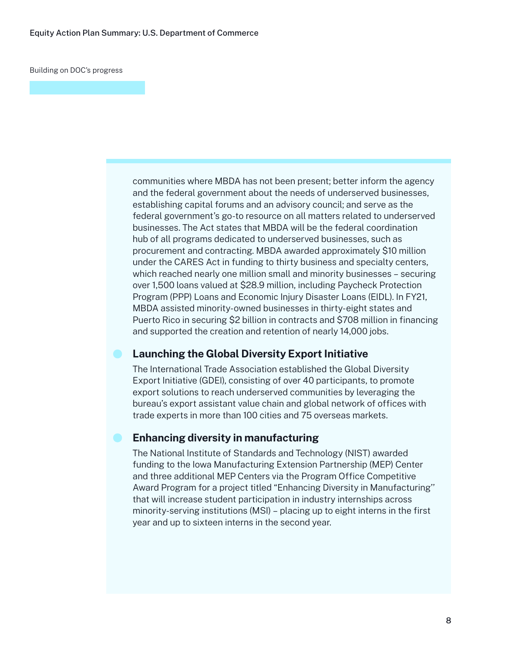communities where MBDA has not been present; better inform the agency and the federal government about the needs of underserved businesses, establishing capital forums and an advisory council; and serve as the federal government's go-to resource on all matters related to underserved businesses. The Act states that MBDA will be the federal coordination hub of all programs dedicated to underserved businesses, such as procurement and contracting. MBDA awarded approximately \$10 million under the CARES Act in funding to thirty business and specialty centers, which reached nearly one million small and minority businesses – securing over 1,500 loans valued at \$28.9 million, including Paycheck Protection Program (PPP) Loans and Economic Injury Disaster Loans (EIDL). In FY21, MBDA assisted minority-owned businesses in thirty-eight states and Puerto Rico in securing \$2 billion in contracts and \$708 million in financing and supported the creation and retention of nearly 14,000 jobs.

#### **Launching the Global Diversity Export Initiative**

The International Trade Association established the Global Diversity Export Initiative (GDEI), consisting of over 40 participants, to promote export solutions to reach underserved communities by leveraging the bureau's export assistant value chain and global network of offices with trade experts in more than 100 cities and 75 overseas markets.

#### **Enhancing diversity in manufacturing**

The National Institute of Standards and Technology (NIST) awarded funding to the Iowa Manufacturing Extension Partnership (MEP) Center and three additional MEP Centers via the Program Office Competitive Award Program for a project titled "Enhancing Diversity in Manufacturing'' that will increase student participation in industry internships across minority-serving institutions (MSI) – placing up to eight interns in the first year and up to sixteen interns in the second year.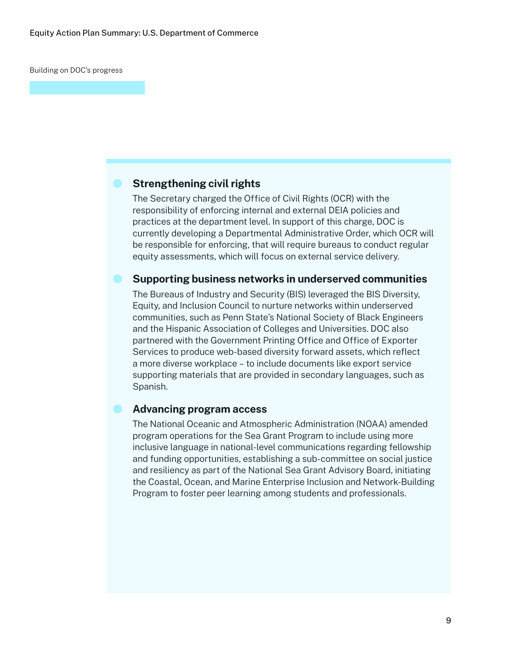#### **Strengthening civil rights**

The Secretary charged the Office of Civil Rights (OCR) with the responsibility of enforcing internal and external DEIA policies and practices at the department level. In support of this charge, DOC is currently developing a Departmental Administrative Order, which OCR will be responsible for enforcing, that will require bureaus to conduct regular equity assessments, which will focus on external service delivery.

#### **Supporting business networks in underserved communities**

The Bureaus of Industry and Security (BIS) leveraged the BIS Diversity, Equity, and Inclusion Council to nurture networks within underserved communities, such as Penn State's National Society of Black Engineers and the Hispanic Association of Colleges and Universities. DOC also partnered with the Government Printing Office and Office of Exporter Services to produce web-based diversity forward assets, which reflect a more diverse workplace – to include documents like export service supporting materials that are provided in secondary languages, such as Spanish.

## **Advancing program access**

The National Oceanic and Atmospheric Administration (NOAA) amended program operations for the Sea Grant Program to include using more inclusive language in national-level communications regarding fellowship and funding opportunities, establishing a sub-committee on social justice and resiliency as part of the National Sea Grant Advisory Board, initiating the Coastal, Ocean, and Marine Enterprise Inclusion and Network-Building Program to foster peer learning among students and professionals.